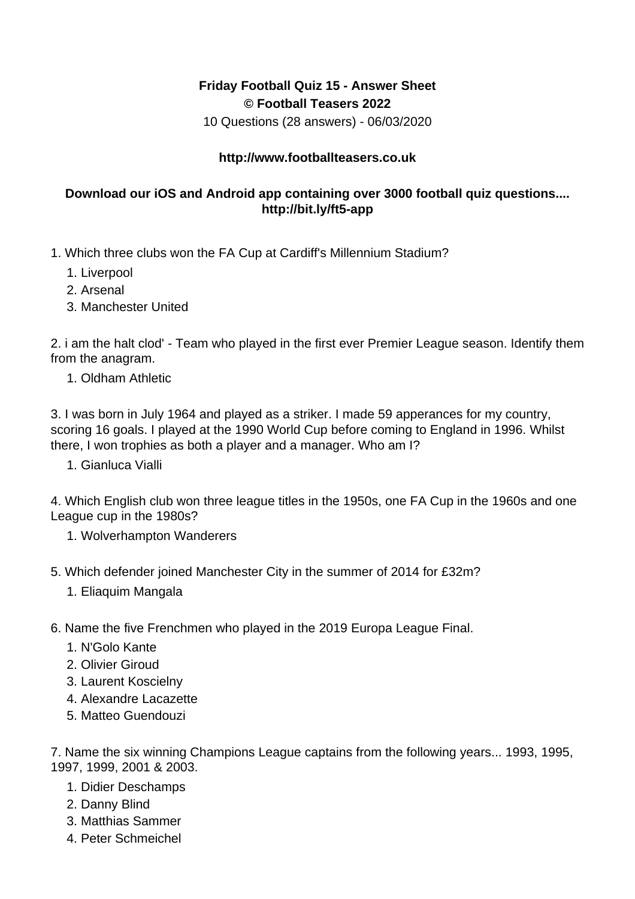## **Friday Football Quiz 15 - Answer Sheet © Football Teasers 2022**

10 Questions (28 answers) - 06/03/2020

## **http://www.footballteasers.co.uk**

## **Download our iOS and Android app containing over 3000 football quiz questions.... http://bit.ly/ft5-app**

- 1. Which three clubs won the FA Cup at Cardiff's Millennium Stadium?
	- 1. Liverpool
	- 2. Arsenal
	- 3. Manchester United

2. i am the halt clod' - Team who played in the first ever Premier League season. Identify them from the anagram.

1. Oldham Athletic

3. I was born in July 1964 and played as a striker. I made 59 apperances for my country, scoring 16 goals. I played at the 1990 World Cup before coming to England in 1996. Whilst there, I won trophies as both a player and a manager. Who am I?

1. Gianluca Vialli

4. Which English club won three league titles in the 1950s, one FA Cup in the 1960s and one League cup in the 1980s?

- 1. Wolverhampton Wanderers
- 5. Which defender joined Manchester City in the summer of 2014 for £32m?
	- 1. Eliaquim Mangala
- 6. Name the five Frenchmen who played in the 2019 Europa League Final.
	- 1. N'Golo Kante
	- 2. Olivier Giroud
	- 3. Laurent Koscielny
	- 4. Alexandre Lacazette
	- 5. Matteo Guendouzi

7. Name the six winning Champions League captains from the following years... 1993, 1995, 1997, 1999, 2001 & 2003.

- 1. Didier Deschamps
- 2. Danny Blind
- 3. Matthias Sammer
- 4. Peter Schmeichel